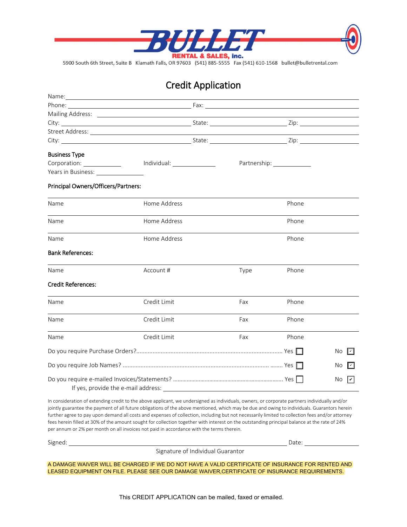

5900 South 6th Street, Suite B Klamath Falls, OR 97603 (541) 885-5555 Fax (541) 610-1568 bullet@bulletrental.com

## **Credit Application**

|                                       | $N$ and $N$ . The contract of $\mathcal{L}$ is the contract of $\mathcal{L}$ is the contract of $\mathcal{L}$ is the contract of $\mathcal{L}$ |      |              |            |
|---------------------------------------|------------------------------------------------------------------------------------------------------------------------------------------------|------|--------------|------------|
|                                       |                                                                                                                                                |      |              |            |
|                                       |                                                                                                                                                |      |              |            |
|                                       |                                                                                                                                                |      |              |            |
|                                       |                                                                                                                                                |      |              |            |
|                                       |                                                                                                                                                |      |              |            |
| <b>Business Type</b>                  |                                                                                                                                                |      |              |            |
| Corporation: ________________         |                                                                                                                                                |      | Partnership: |            |
| Years in Business: Vears in Business: |                                                                                                                                                |      |              |            |
| Principal Owners/Officers/Partners:   |                                                                                                                                                |      |              |            |
| Name                                  | Home Address                                                                                                                                   |      | Phone        |            |
| Name                                  | Home Address                                                                                                                                   |      | Phone        |            |
| Name                                  | Home Address                                                                                                                                   |      | Phone        |            |
| <b>Bank References:</b>               |                                                                                                                                                |      |              |            |
| Name                                  | Account #                                                                                                                                      | Type | Phone        |            |
| <b>Credit References:</b>             |                                                                                                                                                |      |              |            |
| Name                                  | Credit Limit                                                                                                                                   | Fax  | Phone        |            |
| Name                                  | Credit Limit                                                                                                                                   | Fax  | Phone        |            |
| Name                                  | Credit Limit                                                                                                                                   | Fax  | Phone        |            |
|                                       |                                                                                                                                                |      |              | No<br>I۷   |
|                                       |                                                                                                                                                |      |              | No.        |
|                                       |                                                                                                                                                |      |              | No.<br>∣↙∣ |

In consideration of extending credit to the above applicant, we undersigned as individuals, owners, or corporate partners individually and/or jointly guarantee the payment of all future obligations of the above mentioned, which may be due and owing to individuals. Guarantors herein further agree to pay upon demand all costs and expenses of collection, including but not necessarily limited to collection fees and/or attorney fees herein filled at 30% of the amount sought for collection together with interest on the outstanding principal balance at the rate of 24% per annum or 2% per month on all invoices not paid in accordance with the terms therein.

Signed: Date:

Signature of Individual Guarantor

A DAMAGE WAIVER WILL BE CHARGED IF WE DO NOT HAVE A VALID CERTIFICATE OF INSURANCE FOR RENTED AND LEASED EQUIPMENT ON FILE. PLEASE SEE OUR DAMAGE WAIVER,CERTIFICATE OF INSURANCE REQUIREMENTS.

This CREDIT APPLICATION can be mailed, faxed or emailed.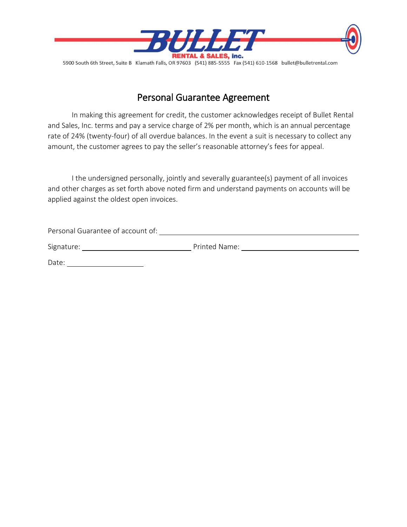

5900 South 6th Street, Suite B Klamath Falls, OR 97603 (541) 885-5555 Fax (541) 610-1568 bullet@bulletrental.com

## Personal Guarantee Agreement

In making this agreement for credit, the customer acknowledges receipt of Bullet Rental and Sales, Inc. terms and pay a service charge of 2% per month, which is an annual percentage rate of 24% (twenty-four) of all overdue balances. In the event a suit is necessary to collect any amount, the customer agrees to pay the seller's reasonable attorney's fees for appeal.

I the undersigned personally, jointly and severally guarantee(s) payment of all invoices and other charges as set forth above noted firm and understand payments on accounts will be applied against the oldest open invoices.

| Personal Guarantee of account of: |               |
|-----------------------------------|---------------|
| Signature:                        | Printed Name: |

Date: when the state of the state of the state of the state of the state of the state of the state of the state of the state of the state of the state of the state of the state of the state of the state of the state of the